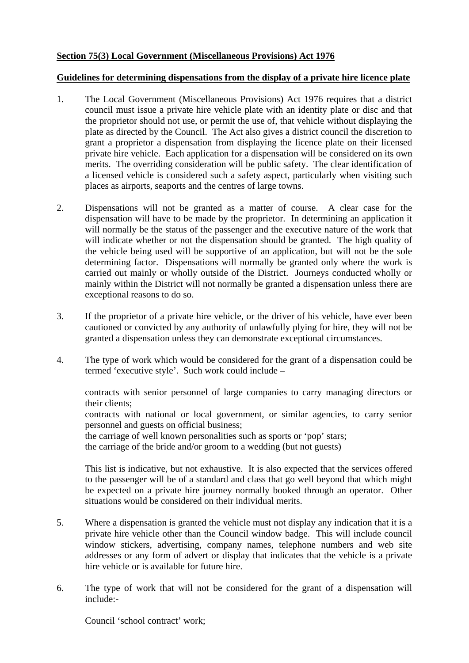## **Section 75(3) Local Government (Miscellaneous Provisions) Act 1976**

## **Guidelines for determining dispensations from the display of a private hire licence plate**

- 1. The Local Government (Miscellaneous Provisions) Act 1976 requires that a district council must issue a private hire vehicle plate with an identity plate or disc and that the proprietor should not use, or permit the use of, that vehicle without displaying the plate as directed by the Council. The Act also gives a district council the discretion to grant a proprietor a dispensation from displaying the licence plate on their licensed private hire vehicle. Each application for a dispensation will be considered on its own merits. The overriding consideration will be public safety. The clear identification of a licensed vehicle is considered such a safety aspect, particularly when visiting such places as airports, seaports and the centres of large towns.
- 2. Dispensations will not be granted as a matter of course. A clear case for the dispensation will have to be made by the proprietor. In determining an application it will normally be the status of the passenger and the executive nature of the work that will indicate whether or not the dispensation should be granted. The high quality of the vehicle being used will be supportive of an application, but will not be the sole determining factor. Dispensations will normally be granted only where the work is carried out mainly or wholly outside of the District. Journeys conducted wholly or mainly within the District will not normally be granted a dispensation unless there are exceptional reasons to do so.
- 3. If the proprietor of a private hire vehicle, or the driver of his vehicle, have ever been cautioned or convicted by any authority of unlawfully plying for hire, they will not be granted a dispensation unless they can demonstrate exceptional circumstances.
- 4. The type of work which would be considered for the grant of a dispensation could be termed 'executive style'. Such work could include –

contracts with senior personnel of large companies to carry managing directors or their clients;

contracts with national or local government, or similar agencies, to carry senior personnel and guests on official business;

the carriage of well known personalities such as sports or 'pop' stars; the carriage of the bride and/or groom to a wedding (but not guests)

 This list is indicative, but not exhaustive. It is also expected that the services offered to the passenger will be of a standard and class that go well beyond that which might be expected on a private hire journey normally booked through an operator. Other situations would be considered on their individual merits.

- 5. Where a dispensation is granted the vehicle must not display any indication that it is a private hire vehicle other than the Council window badge. This will include council window stickers, advertising, company names, telephone numbers and web site addresses or any form of advert or display that indicates that the vehicle is a private hire vehicle or is available for future hire.
- 6. The type of work that will not be considered for the grant of a dispensation will include:-

Council 'school contract' work;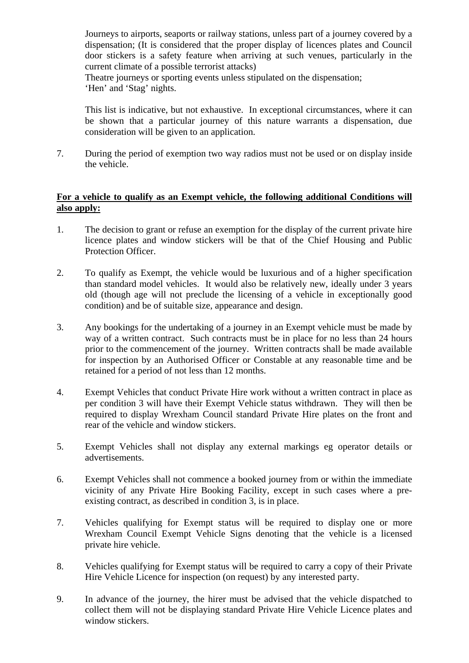Journeys to airports, seaports or railway stations, unless part of a journey covered by a dispensation; (It is considered that the proper display of licences plates and Council door stickers is a safety feature when arriving at such venues, particularly in the current climate of a possible terrorist attacks)

 Theatre journeys or sporting events unless stipulated on the dispensation; 'Hen' and 'Stag' nights.

 This list is indicative, but not exhaustive. In exceptional circumstances, where it can be shown that a particular journey of this nature warrants a dispensation, due consideration will be given to an application.

7. During the period of exemption two way radios must not be used or on display inside the vehicle.

## **For a vehicle to qualify as an Exempt vehicle, the following additional Conditions will also apply:**

- 1. The decision to grant or refuse an exemption for the display of the current private hire licence plates and window stickers will be that of the Chief Housing and Public Protection Officer.
- 2. To qualify as Exempt, the vehicle would be luxurious and of a higher specification than standard model vehicles. It would also be relatively new, ideally under 3 years old (though age will not preclude the licensing of a vehicle in exceptionally good condition) and be of suitable size, appearance and design.
- 3. Any bookings for the undertaking of a journey in an Exempt vehicle must be made by way of a written contract. Such contracts must be in place for no less than 24 hours prior to the commencement of the journey. Written contracts shall be made available for inspection by an Authorised Officer or Constable at any reasonable time and be retained for a period of not less than 12 months.
- 4. Exempt Vehicles that conduct Private Hire work without a written contract in place as per condition 3 will have their Exempt Vehicle status withdrawn. They will then be required to display Wrexham Council standard Private Hire plates on the front and rear of the vehicle and window stickers.
- 5. Exempt Vehicles shall not display any external markings eg operator details or advertisements.
- 6. Exempt Vehicles shall not commence a booked journey from or within the immediate vicinity of any Private Hire Booking Facility, except in such cases where a preexisting contract, as described in condition 3, is in place.
- 7. Vehicles qualifying for Exempt status will be required to display one or more Wrexham Council Exempt Vehicle Signs denoting that the vehicle is a licensed private hire vehicle.
- 8. Vehicles qualifying for Exempt status will be required to carry a copy of their Private Hire Vehicle Licence for inspection (on request) by any interested party.
- 9. In advance of the journey, the hirer must be advised that the vehicle dispatched to collect them will not be displaying standard Private Hire Vehicle Licence plates and window stickers.